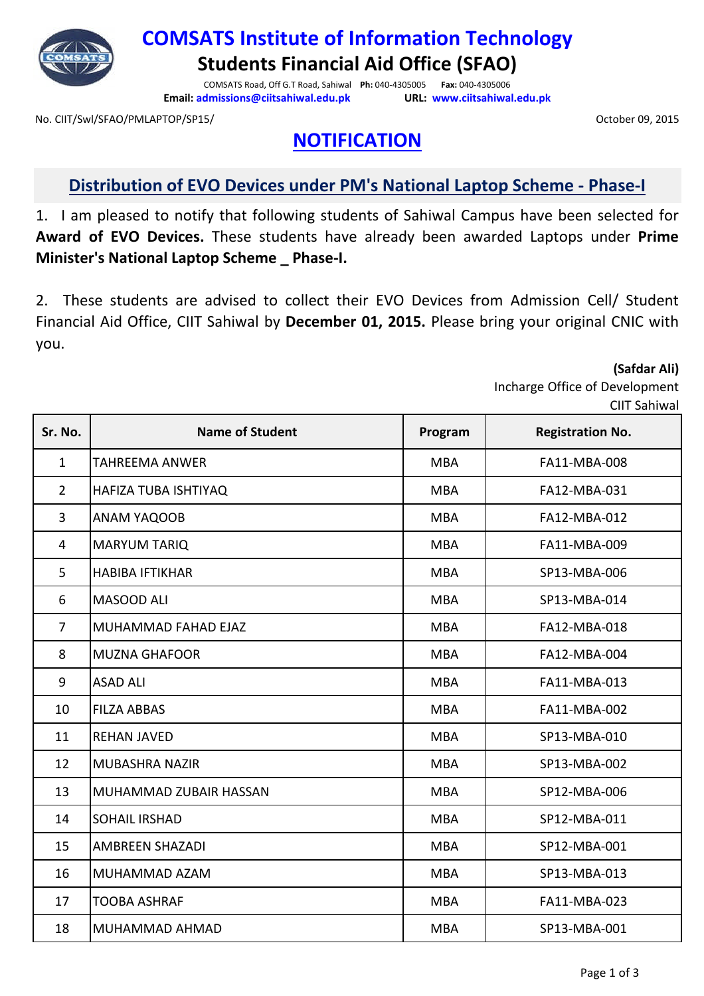

**COMSATS Institute of Information Technology Students Financial Aid Office (SFAO)**

COMSATS Road, Off G.T Road, Sahiwal **Ph:** 040-4305005 **Fax:** 040-4305006 **Email: admissions@ciitsahiwal.edu.pk URL: www.ciitsahiwal.edu.pk**

No. CIIT/Swl/SFAO/PMLAPTOP/SP15/ October 09, 2015

## **NOTIFICATION**

## **Distribution of EVO Devices under PM's National Laptop Scheme - Phase-I**

1. I am pleased to notify that following students of Sahiwal Campus have been selected for **Award of EVO Devices.** These students have already been awarded Laptops under **Prime Minister's National Laptop Scheme \_ Phase-I.**

2. These students are advised to collect their EVO Devices from Admission Cell/ Student Financial Aid Office, CIIT Sahiwal by **December 01, 2015.** Please bring your original CNIC with you.

**(Safdar Ali)**

Incharge Office of Development  $C<sub>1</sub>$  sahiwal

| Sr. No.        | <b>Name of Student</b> | Program    | <b>Registration No.</b> |
|----------------|------------------------|------------|-------------------------|
| $\mathbf{1}$   | <b>TAHREEMA ANWER</b>  | <b>MBA</b> | FA11-MBA-008            |
| $\overline{2}$ | HAFIZA TUBA ISHTIYAQ   | <b>MBA</b> | FA12-MBA-031            |
| 3              | ANAM YAQOOB            | <b>MBA</b> | FA12-MBA-012            |
| 4              | <b>MARYUM TARIQ</b>    | <b>MBA</b> | FA11-MBA-009            |
| 5              | <b>HABIBA IFTIKHAR</b> | <b>MBA</b> | SP13-MBA-006            |
| 6              | MASOOD ALI             | <b>MBA</b> | SP13-MBA-014            |
| $\overline{7}$ | MUHAMMAD FAHAD EJAZ    | <b>MBA</b> | FA12-MBA-018            |
| 8              | <b>MUZNA GHAFOOR</b>   | <b>MBA</b> | FA12-MBA-004            |
| 9              | <b>ASAD ALI</b>        | <b>MBA</b> | FA11-MBA-013            |
| 10             | <b>FILZA ABBAS</b>     | <b>MBA</b> | FA11-MBA-002            |
| 11             | <b>REHAN JAVED</b>     | <b>MBA</b> | SP13-MBA-010            |
| 12             | MUBASHRA NAZIR         | <b>MBA</b> | SP13-MBA-002            |
| 13             | MUHAMMAD ZUBAIR HASSAN | <b>MBA</b> | SP12-MBA-006            |
| 14             | <b>SOHAIL IRSHAD</b>   | <b>MBA</b> | SP12-MBA-011            |
| 15             | <b>AMBREEN SHAZADI</b> | <b>MBA</b> | SP12-MBA-001            |
| 16             | MUHAMMAD AZAM          | <b>MBA</b> | SP13-MBA-013            |
| 17             | <b>TOOBA ASHRAF</b>    | <b>MBA</b> | FA11-MBA-023            |
| 18             | MUHAMMAD AHMAD         | <b>MBA</b> | SP13-MBA-001            |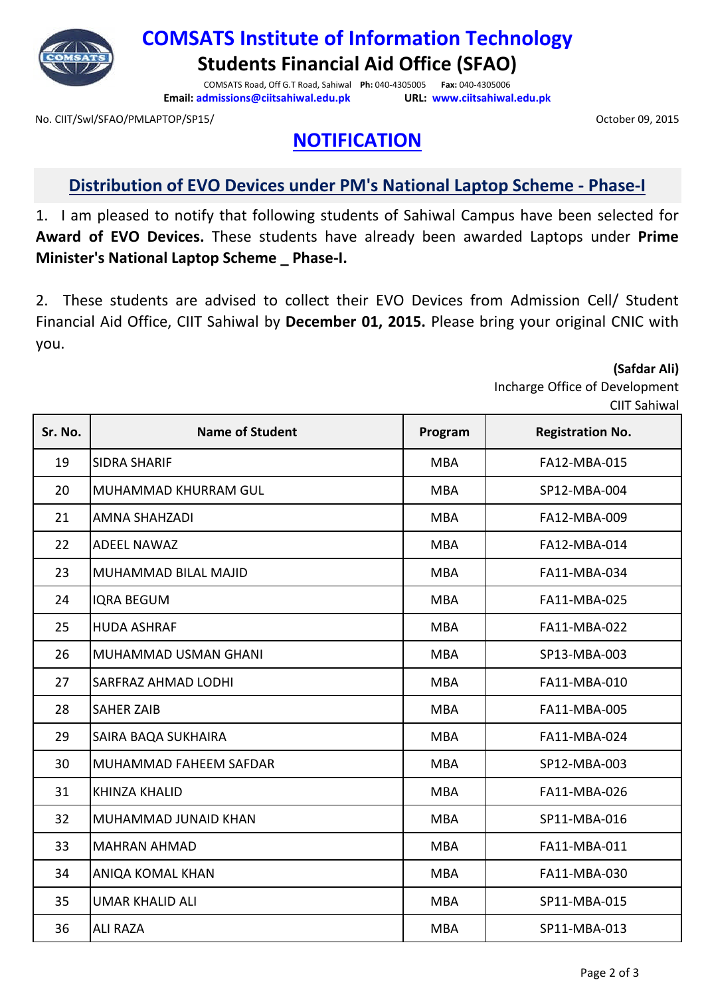

**COMSATS Institute of Information Technology Students Financial Aid Office (SFAO)**

COMSATS Road, Off G.T Road, Sahiwal **Ph:** 040-4305005 **Fax:** 040-4305006 **Email: admissions@ciitsahiwal.edu.pk URL: www.ciitsahiwal.edu.pk**

No. CIIT/Swl/SFAO/PMLAPTOP/SP15/ October 09, 2015

**NOTIFICATION**

## **Distribution of EVO Devices under PM's National Laptop Scheme - Phase-I**

1. I am pleased to notify that following students of Sahiwal Campus have been selected for **Award of EVO Devices.** These students have already been awarded Laptops under **Prime Minister's National Laptop Scheme \_ Phase-I.**

2. These students are advised to collect their EVO Devices from Admission Cell/ Student Financial Aid Office, CIIT Sahiwal by **December 01, 2015.** Please bring your original CNIC with you.

**(Safdar Ali)**

Incharge Office of Development  $C<sub>1</sub>$  sahiwal

| Sr. No. | <b>Name of Student</b>      | Program    | <b>Registration No.</b> |
|---------|-----------------------------|------------|-------------------------|
| 19      | <b>SIDRA SHARIF</b>         | <b>MBA</b> | FA12-MBA-015            |
| 20      | MUHAMMAD KHURRAM GUL        | <b>MBA</b> | SP12-MBA-004            |
| 21      | <b>AMNA SHAHZADI</b>        | <b>MBA</b> | FA12-MBA-009            |
| 22      | <b>ADEEL NAWAZ</b>          | <b>MBA</b> | FA12-MBA-014            |
| 23      | <b>MUHAMMAD BILAL MAJID</b> | <b>MBA</b> | FA11-MBA-034            |
| 24      | <b>IQRA BEGUM</b>           | <b>MBA</b> | FA11-MBA-025            |
| 25      | <b>HUDA ASHRAF</b>          | <b>MBA</b> | FA11-MBA-022            |
| 26      | <b>MUHAMMAD USMAN GHANI</b> | <b>MBA</b> | SP13-MBA-003            |
| 27      | <b>SARFRAZ AHMAD LODHI</b>  | <b>MBA</b> | FA11-MBA-010            |
| 28      | <b>SAHER ZAIB</b>           | <b>MBA</b> | FA11-MBA-005            |
| 29      | SAIRA BAQA SUKHAIRA         | <b>MBA</b> | FA11-MBA-024            |
| 30      | MUHAMMAD FAHEEM SAFDAR      | <b>MBA</b> | SP12-MBA-003            |
| 31      | <b>KHINZA KHALID</b>        | <b>MBA</b> | FA11-MBA-026            |
| 32      | MUHAMMAD JUNAID KHAN        | <b>MBA</b> | SP11-MBA-016            |
| 33      | <b>MAHRAN AHMAD</b>         | <b>MBA</b> | FA11-MBA-011            |
| 34      | <b>ANIQA KOMAL KHAN</b>     | <b>MBA</b> | FA11-MBA-030            |
| 35      | <b>UMAR KHALID ALI</b>      | <b>MBA</b> | SP11-MBA-015            |
| 36      | <b>ALI RAZA</b>             | <b>MBA</b> | SP11-MBA-013            |